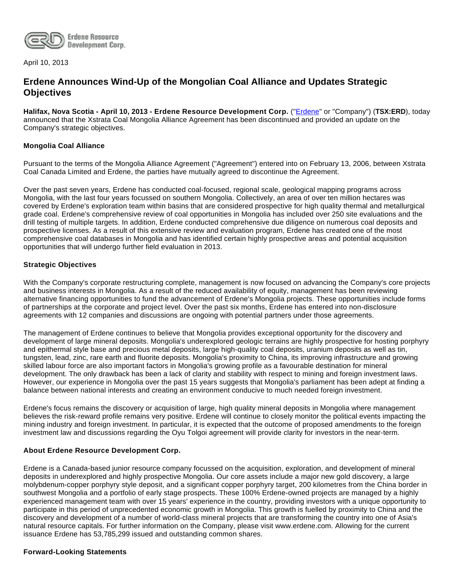

April 10, 2013

# **Erdene Announces Wind-Up of the Mongolian Coal Alliance and Updates Strategic Objectives**

**Halifax, Nova Scotia - April 10, 2013 - Erdene Resource Development Corp.** ("[Erdene"](http://www.erdene.com/) or "Company") (**TSX:ERD**), today announced that the Xstrata Coal Mongolia Alliance Agreement has been discontinued and provided an update on the Company's strategic objectives.

## **Mongolia Coal Alliance**

Pursuant to the terms of the Mongolia Alliance Agreement ("Agreement") entered into on February 13, 2006, between Xstrata Coal Canada Limited and Erdene, the parties have mutually agreed to discontinue the Agreement.

Over the past seven years, Erdene has conducted coal-focused, regional scale, geological mapping programs across Mongolia, with the last four years focussed on southern Mongolia. Collectively, an area of over ten million hectares was covered by Erdene's exploration team within basins that are considered prospective for high quality thermal and metallurgical grade coal. Erdene's comprehensive review of coal opportunities in Mongolia has included over 250 site evaluations and the drill testing of multiple targets. In addition, Erdene conducted comprehensive due diligence on numerous coal deposits and prospective licenses. As a result of this extensive review and evaluation program, Erdene has created one of the most comprehensive coal databases in Mongolia and has identified certain highly prospective areas and potential acquisition opportunities that will undergo further field evaluation in 2013.

## **Strategic Objectives**

With the Company's corporate restructuring complete, management is now focused on advancing the Company's core projects and business interests in Mongolia. As a result of the reduced availability of equity, management has been reviewing alternative financing opportunities to fund the advancement of Erdene's Mongolia projects. These opportunities include forms of partnerships at the corporate and project level. Over the past six months, Erdene has entered into non-disclosure agreements with 12 companies and discussions are ongoing with potential partners under those agreements.

The management of Erdene continues to believe that Mongolia provides exceptional opportunity for the discovery and development of large mineral deposits. Mongolia's underexplored geologic terrains are highly prospective for hosting porphyry and epithermal style base and precious metal deposits, large high-quality coal deposits, uranium deposits as well as tin, tungsten, lead, zinc, rare earth and fluorite deposits. Mongolia's proximity to China, its improving infrastructure and growing skilled labour force are also important factors in Mongolia's growing profile as a favourable destination for mineral development. The only drawback has been a lack of clarity and stability with respect to mining and foreign investment laws. However, our experience in Mongolia over the past 15 years suggests that Mongolia's parliament has been adept at finding a balance between national interests and creating an environment conducive to much needed foreign investment.

Erdene's focus remains the discovery or acquisition of large, high quality mineral deposits in Mongolia where management believes the risk-reward profile remains very positive. Erdene will continue to closely monitor the political events impacting the mining industry and foreign investment. In particular, it is expected that the outcome of proposed amendments to the foreign investment law and discussions regarding the Oyu Tolgoi agreement will provide clarity for investors in the near-term.

#### **About Erdene Resource Development Corp.**

Erdene is a Canada-based junior resource company focussed on the acquisition, exploration, and development of mineral deposits in underexplored and highly prospective Mongolia. Our core assets include a major new gold discovery, a large molybdenum-copper porphyry style deposit, and a significant copper porphyry target, 200 kilometres from the China border in southwest Mongolia and a portfolio of early stage prospects. These 100% Erdene-owned projects are managed by a highly experienced management team with over 15 years' experience in the country, providing investors with a unique opportunity to participate in this period of unprecedented economic growth in Mongolia. This growth is fuelled by proximity to China and the discovery and development of a number of world-class mineral projects that are transforming the country into one of Asia's natural resource capitals. For further information on the Company, please visit www.erdene.com. Allowing for the current issuance Erdene has 53,785,299 issued and outstanding common shares.

#### **Forward-Looking Statements**